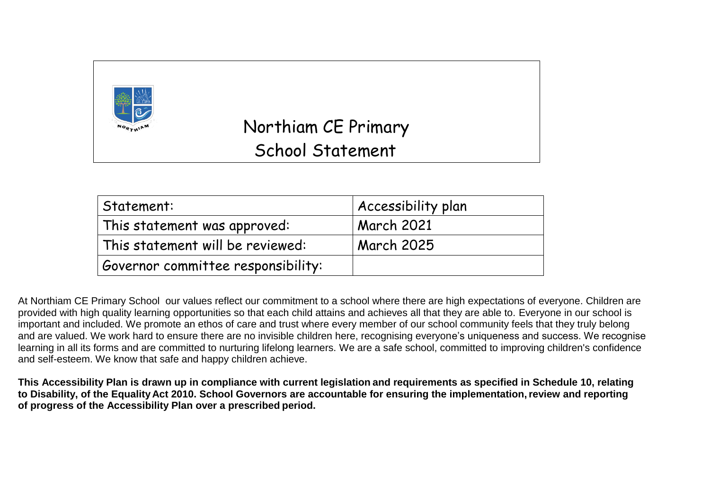

# Northiam CE Primary School Statement

| Statement:                         | Accessibility plan |
|------------------------------------|--------------------|
| This statement was approved:       | <b>March 2021</b>  |
| This statement will be reviewed:   | March 2025         |
| Governor committee responsibility: |                    |

At Northiam CE Primary School our values reflect our commitment to a school where there are high expectations of everyone. Children are provided with high quality learning opportunities so that each child attains and achieves all that they are able to. Everyone in our school is important and included. We promote an ethos of care and trust where every member of our school community feels that they truly belong and are valued. We work hard to ensure there are no invisible children here, recognising everyone's uniqueness and success. We recognise learning in all its forms and are committed to nurturing lifelong learners. We are a safe school, committed to improving children's confidence and self-esteem. We know that safe and happy children achieve.

**This Accessibility Plan is drawn up in compliance with current legislation and requirements as specified in Schedule 10, relating to Disability, of the Equality Act 2010. School Governors are accountable for ensuring the implementation,review and reporting of progress of the Accessibility Plan over a prescribed period.**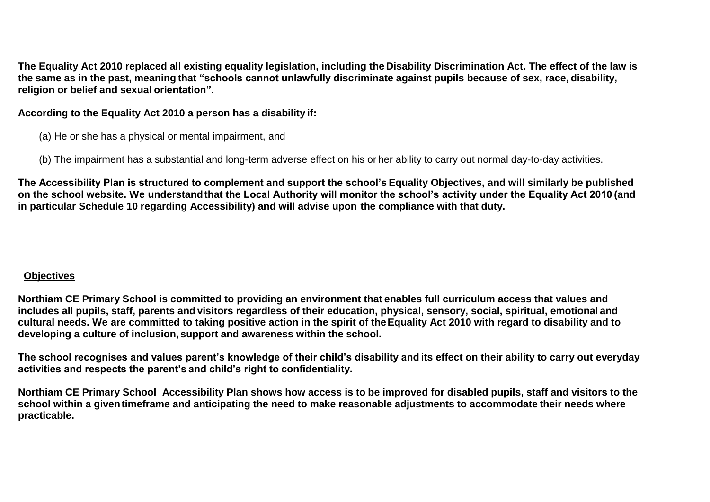**The Equality Act 2010 replaced all existing equality legislation, including the Disability Discrimination Act. The effect of the law is the same as in the past, meaning that "schools cannot unlawfully discriminate against pupils because of sex, race, disability, religion or belief and sexual orientation".**

**According to the Equality Act 2010 a person has a disability if:**

- (a) He or she has a physical or mental impairment, and
- (b) The impairment has a substantial and long-term adverse effect on his or her ability to carry out normal day-to-day activities.

**The Accessibility Plan is structured to complement and support the school's Equality Objectives, and will similarly be published on the school website. We understandthat the Local Authority will monitor the school's activity under the Equality Act 2010 (and in particular Schedule 10 regarding Accessibility) and will advise upon the compliance with that duty.**

### **Objectives**

**Northiam CE Primary School is committed to providing an environment that enables full curriculum access that values and includes all pupils, staff, parents and visitors regardless of their education, physical, sensory, social, spiritual, emotional and cultural needs. We are committed to taking positive action in the spirit of theEquality Act 2010 with regard to disability and to developing a culture of inclusion, support and awareness within the school.**

**The school recognises and values parent's knowledge of their child's disability and its effect on their ability to carry out everyday activities and respects the parent's and child's right to confidentiality.**

**Northiam CE Primary School Accessibility Plan shows how access is to be improved for disabled pupils, staff and visitors to the school within a giventimeframe and anticipating the need to make reasonable adjustments to accommodate their needs where practicable.**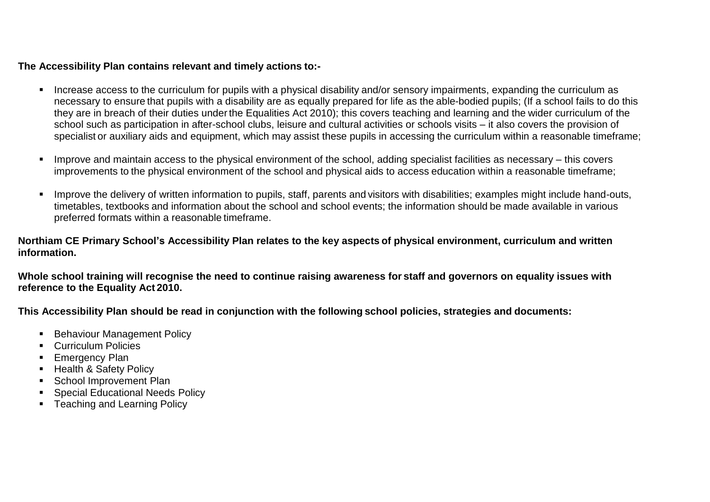#### **The Accessibility Plan contains relevant and timely actions to:-**

- Increase access to the curriculum for pupils with a physical disability and/or sensory impairments, expanding the curriculum as necessary to ensure that pupils with a disability are as equally prepared for life as the able-bodied pupils; (If a school fails to do this they are in breach of their duties underthe Equalities Act 2010); this covers teaching and learning and the wider curriculum of the school such as participation in after-school clubs, leisure and cultural activities or schools visits – it also covers the provision of specialist or auxiliary aids and equipment, which may assist these pupils in accessing the curriculum within a reasonable timeframe;
- Improve and maintain access to the physical environment of the school, adding specialist facilities as necessary this covers improvements to the physical environment of the school and physical aids to access education within a reasonable timeframe;
- Improve the delivery of written information to pupils, staff, parents and visitors with disabilities; examples might include hand-outs, timetables, textbooks and information about the school and school events; the information should be made available in various preferred formats within a reasonable timeframe.

#### **Northiam CE Primary School's Accessibility Plan relates to the key aspects of physical environment, curriculum and written information.**

**Whole school training will recognise the need to continue raising awareness for staff and governors on equality issues with reference to the Equality Act 2010.**

**This Accessibility Plan should be read in conjunction with the following school policies, strategies and documents:**

- **Behaviour Management Policy**
- **Curriculum Policies**
- **Emergency Plan**
- **-** Health & Safety Policy
- **School Improvement Plan**
- Special Educational Needs Policy
- Teaching and Learning Policy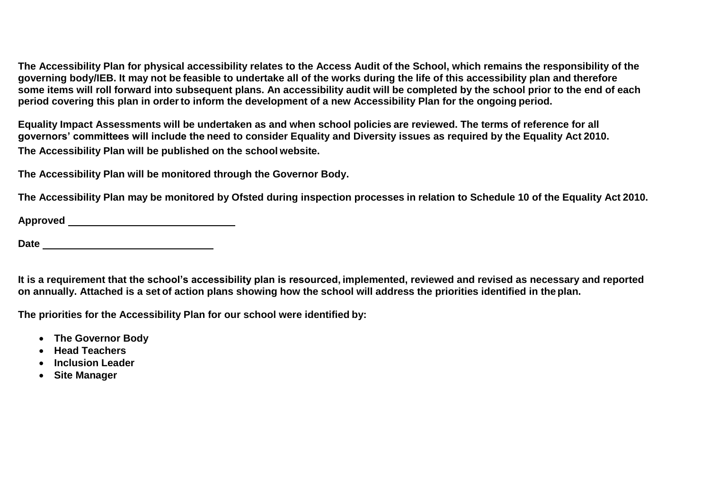**The Accessibility Plan for physical accessibility relates to the Access Audit of the School, which remains the responsibility of the governing body/IEB. It may not be feasible to undertake all of the works during the life of this accessibility plan and therefore some items will roll forward into subsequent plans. An accessibility audit will be completed by the school prior to the end of each period covering this plan in orderto inform the development of a new Accessibility Plan for the ongoing period.**

**Equality Impact Assessments will be undertaken as and when school policies are reviewed. The terms of reference for all governors' committees will include the need to consider Equality and Diversity issues as required by the Equality Act 2010. The Accessibility Plan will be published on the school website.**

**The Accessibility Plan will be monitored through the Governor Body.**

**The Accessibility Plan may be monitored by Ofsted during inspection processes in relation to Schedule 10 of the Equality Act 2010.**

**Approved** 

**Date** 

**It is a requirement that the school's accessibility plan is resourced, implemented, reviewed and revised as necessary and reported on annually. Attached is a set of action plans showing how the school will address the priorities identified in theplan.**

**The priorities for the Accessibility Plan for our school were identified by:**

- **The Governor Body**
- **Head Teachers**
- **Inclusion Leader**
- **Site Manager**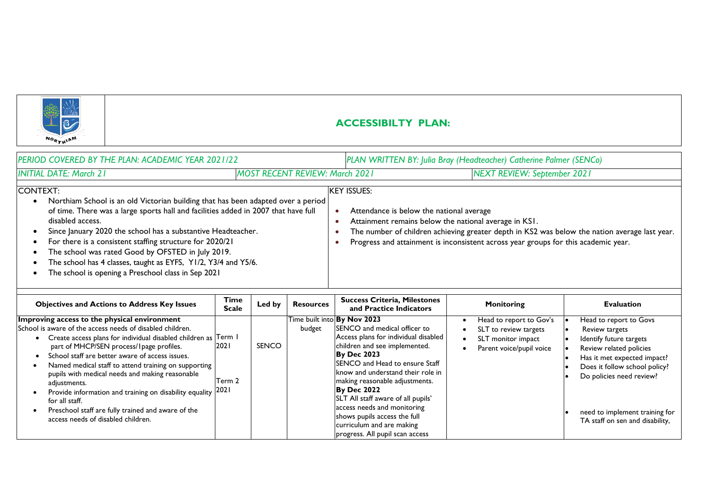

## **ACCESSIBILTY PLAN:**

|          | PERIOD COVERED BY THE PLAN: ACADEMIC YEAR 2021/22                                                                                                                                                                                                                                                                                                                                                                                                                                                    | PLAN WRITTEN BY: Julia Bray (Headteacher) Catherine Palmer (SENCo) |                                                                                                   |                                                                                                                                                                                     |  |  |
|----------|------------------------------------------------------------------------------------------------------------------------------------------------------------------------------------------------------------------------------------------------------------------------------------------------------------------------------------------------------------------------------------------------------------------------------------------------------------------------------------------------------|--------------------------------------------------------------------|---------------------------------------------------------------------------------------------------|-------------------------------------------------------------------------------------------------------------------------------------------------------------------------------------|--|--|
|          | <b>INITIAL DATE: March 21</b><br><b>MOST RECENT REVIEW: March 2021</b>                                                                                                                                                                                                                                                                                                                                                                                                                               |                                                                    |                                                                                                   | <b>NEXT REVIEW: September 2021</b>                                                                                                                                                  |  |  |
| CONTEXT: | Northiam School is an old Victorian building that has been adapted over a period<br>of time. There was a large sports hall and facilities added in 2007 that have full<br>disabled access.<br>Since January 2020 the school has a substantive Headteacher.<br>For there is a consistent staffing structure for 2020/21<br>The school was rated Good by OFSTED in July 2019.<br>The school has 4 classes, taught as EYFS, Y1/2, Y3/4 and Y5/6.<br>The school is opening a Preschool class in Sep 2021 | <b>IKEY ISSUES:</b>                                                | Attendance is below the national average<br>Attainment remains below the national average in KSI. | The number of children achieving greater depth in KS2 was below the nation average last year.<br>Progress and attainment is inconsistent across year groups for this academic year. |  |  |

| <b>Objectives and Actions to Address Key Issues</b>                                                                                                                                                                                                                                                                                                                                                                                                                                                                                                                                   | Time<br><b>Scale</b> | Led by | <b>Resources</b> | <b>Success Criteria, Milestones</b><br>and Practice Indicators                                                                                                                                                                                                                                                                                                                                                                                                  | Monitoring                                                                                         | <b>Evaluation</b>                                                                                                                                                                                                                                               |
|---------------------------------------------------------------------------------------------------------------------------------------------------------------------------------------------------------------------------------------------------------------------------------------------------------------------------------------------------------------------------------------------------------------------------------------------------------------------------------------------------------------------------------------------------------------------------------------|----------------------|--------|------------------|-----------------------------------------------------------------------------------------------------------------------------------------------------------------------------------------------------------------------------------------------------------------------------------------------------------------------------------------------------------------------------------------------------------------------------------------------------------------|----------------------------------------------------------------------------------------------------|-----------------------------------------------------------------------------------------------------------------------------------------------------------------------------------------------------------------------------------------------------------------|
| Improving access to the physical environment<br>School is aware of the access needs of disabled children.<br>Create access plans for individual disabled children as Term I<br>part of MHCP/SEN process/ I page profiles.<br>School staff are better aware of access issues.<br>Named medical staff to attend training on supporting<br>pupils with medical needs and making reasonable<br>adjustments.<br>Provide information and training on disability equality 2021<br>for all staff.<br>Preschool staff are fully trained and aware of the<br>access needs of disabled children. | 2021<br>Term 2       | SENCO  | budget           | Time built into By Nov 2023<br>SENCO and medical officer to<br>Access plans for individual disabled<br>children and see implemented.<br><b>By Dec 2023</b><br>ISENCO and Head to ensure Staff<br>know and understand their role in<br>making reasonable adjustments.<br><b>By Dec 2022</b><br>SLT All staff aware of all pupils'<br>access needs and monitoring<br>shows pupils access the full<br>curriculum and are making<br>progress. All pupil scan access | Head to report to Gov's<br>SLT to review targets<br>SLT monitor impact<br>Parent voice/pupil voice | Head to report to Govs<br>Review targets<br>Identify future targets<br>Review related policies<br>Has it met expected impact?<br>Does it follow school policy?<br>Do policies need review?<br>need to implement training for<br>TA staff on sen and disability, |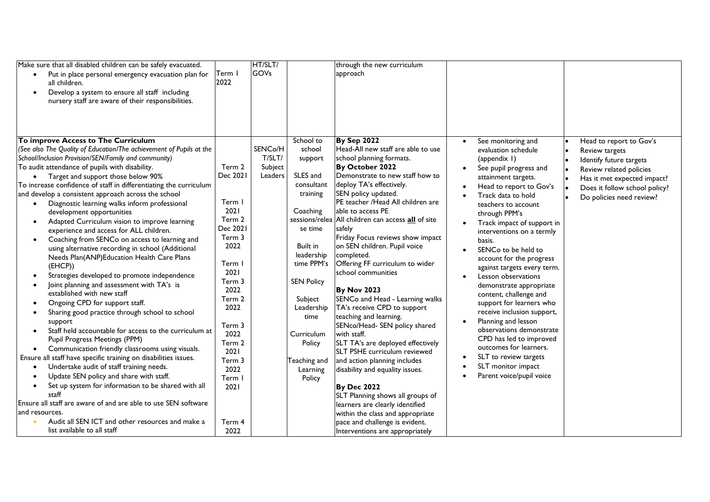| Make sure that all disabled children can be safely evacuated.<br>Put in place personal emergency evacuation plan for<br>all children.<br>Develop a system to ensure all staff including                                                                                                                                                                                                                                                                                                                                                                                                                                                                                                                                                                                                                                                                                                                                                                                                                                                                               | Term I<br>2022                                                                                                                     | HT/SLT/<br>GOVs                         |                                                                                                                                                                                           | through the new curriculum<br>approach                                                                                                                                                                                                                                                                                                                                                                                                                                                                                                                                                |                                                                                                                                                                                                                                                                                                                                                                                                                                                                                                                                                                                          |                                                                                                                                                                                             |
|-----------------------------------------------------------------------------------------------------------------------------------------------------------------------------------------------------------------------------------------------------------------------------------------------------------------------------------------------------------------------------------------------------------------------------------------------------------------------------------------------------------------------------------------------------------------------------------------------------------------------------------------------------------------------------------------------------------------------------------------------------------------------------------------------------------------------------------------------------------------------------------------------------------------------------------------------------------------------------------------------------------------------------------------------------------------------|------------------------------------------------------------------------------------------------------------------------------------|-----------------------------------------|-------------------------------------------------------------------------------------------------------------------------------------------------------------------------------------------|---------------------------------------------------------------------------------------------------------------------------------------------------------------------------------------------------------------------------------------------------------------------------------------------------------------------------------------------------------------------------------------------------------------------------------------------------------------------------------------------------------------------------------------------------------------------------------------|------------------------------------------------------------------------------------------------------------------------------------------------------------------------------------------------------------------------------------------------------------------------------------------------------------------------------------------------------------------------------------------------------------------------------------------------------------------------------------------------------------------------------------------------------------------------------------------|---------------------------------------------------------------------------------------------------------------------------------------------------------------------------------------------|
| nursery staff are aware of their responsibilities.<br>To improve Access to The Curriculum<br>(See also The Quality of Education/The achievement of Pupils at the<br>School/Inclusion Provision/SEN/Family and community)<br>To audit attendance of pupils with disability.<br>• Target and support those below 90%<br>To increase confidence of staff in differentiating the curriculum<br>and develop a consistent approach across the school<br>Diagnostic learning walks inform professional<br>$\bullet$<br>development opportunities<br>Adapted Curriculum vision to improve learning<br>$\bullet$<br>experience and access for ALL children.<br>Coaching from SENCo on access to learning and<br>$\bullet$<br>using alternative recording in school (Additional<br>Needs Plan(ANP)Education Health Care Plans<br>(EHCP)<br>Strategies developed to promote independence<br>Joint planning and assessment with TA's is<br>$\bullet$<br>established with new staff<br>Ongoing CPD for support staff.<br>Sharing good practice through school to school<br>support | Term 2<br>Dec 2021<br>Term I<br>2021<br>Term 2<br>Dec 2021<br>Term 3<br>2022<br>Term l<br>2021<br>Term 3<br>2022<br>Term 2<br>2022 | SENCo/H<br>T/SLT/<br>Subject<br>Leaders | School to<br>school<br>support<br>SLES and<br>consultant<br>training<br>Coaching<br>se time<br>Built in<br>leadership<br>time PPM's<br><b>SEN Policy</b><br>Subject<br>Leadership<br>time | <b>By Sep 2022</b><br>Head-All new staff are able to use<br>school planning formats.<br>By October 2022<br>Demonstrate to new staff how to<br>deploy TA's effectively.<br>SEN policy updated.<br>PE teacher /Head All children are<br>able to access PE.<br>sessions/relea All children can access all of site<br>safely<br>Friday Focus reviews show impact<br>on SEN children. Pupil voice<br>completed.<br>Offering FF curriculum to wider<br>school communities<br><b>By Nov 2023</b><br>SENCo and Head - Learning walks<br>TA's receive CPD to support<br>teaching and learning. | See monitoring and<br>evaluation schedule<br>(appendix 1)<br>See pupil progress and<br>$\bullet$<br>attainment targets.<br>Head to report to Gov's<br>$\bullet$<br>Track data to hold<br>teachers to account<br>through PPM's<br>Track impact of support in<br>interventions on a termly<br>basis.<br>SENCo to be held to<br>$\bullet$<br>account for the progress<br>against targets every term.<br>Lesson observations<br>$\bullet$<br>demonstrate appropriate<br>content, challenge and<br>support for learners who<br>receive inclusion support,<br>Planning and lesson<br>$\bullet$ | Head to report to Gov's<br>Review targets<br>Identify future targets<br>Review related policies<br>Has it met expected impact?<br>Does it follow school policy?<br>Do policies need review? |
| Staff held accountable for access to the curriculum at<br>Pupil Progress Meetings (PPM)<br>Communication friendly classrooms using visuals.<br>Ensure all staff have specific training on disabilities issues.<br>Undertake audit of staff training needs.<br>Update SEN policy and share with staff.<br>Set up system for information to be shared with all<br>staff<br>Ensure all staff are aware of and are able to use SEN software<br>and resources.<br>Audit all SEN ICT and other resources and make a<br>list available to all staff                                                                                                                                                                                                                                                                                                                                                                                                                                                                                                                          | Term 3<br>2022<br>Term 2<br>2021<br>Term 3<br>2022<br>Term I<br>2021<br>Term 4<br>2022                                             |                                         | Curriculum<br>Policy<br>Teaching and<br>Learning<br>Policy                                                                                                                                | SENco/Head- SEN policy shared<br>with staff.<br>SLT TA's are deployed effectively<br>SLT PSHE curriculum reviewed<br>and action planning includes<br>disability and equality issues.<br><b>By Dec 2022</b><br>SLT Planning shows all groups of<br>learners are clearly identified<br>within the class and appropriate<br>pace and challenge is evident.<br>Interventions are appropriately                                                                                                                                                                                            | observations demonstrate<br>CPD has led to improved<br>outcomes for learners.<br>SLT to review targets<br>$\bullet$<br>SLT monitor impact<br>Parent voice/pupil voice                                                                                                                                                                                                                                                                                                                                                                                                                    |                                                                                                                                                                                             |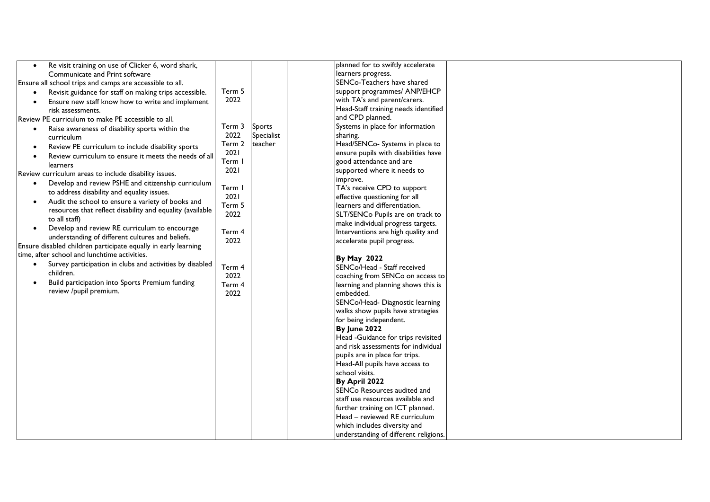| Re visit training on use of Clicker 6, word shark,<br>$\bullet$ |        |            | planned for to swiftly accelerate     |
|-----------------------------------------------------------------|--------|------------|---------------------------------------|
| Communicate and Print software                                  |        |            | learners progress.                    |
| Ensure all school trips and camps are accessible to all.        |        |            | SENCo-Teachers have shared            |
| Revisit guidance for staff on making trips accessible.          | Term 5 |            | support programmes/ ANP/EHCP          |
| Ensure new staff know how to write and implement                | 2022   |            | with TA's and parent/carers.          |
| risk assessments.                                               |        |            | Head-Staff training needs identified  |
| Review PE curriculum to make PE accessible to all.              |        |            | and CPD planned.                      |
| Raise awareness of disability sports within the<br>$\bullet$    | Term 3 | Sports     | Systems in place for information      |
| curriculum                                                      | 2022   | Specialist | sharing.                              |
| Review PE curriculum to include disability sports               | Term 2 | teacher    | Head/SENCo- Systems in place to       |
| Review curriculum to ensure it meets the needs of all           | 2021   |            | ensure pupils with disabilities have  |
| learners                                                        | Term I |            | good attendance and are               |
| Review curriculum areas to include disability issues.           | 2021   |            | supported where it needs to           |
| Develop and review PSHE and citizenship curriculum              |        |            | improve.                              |
| to address disability and equality issues.                      | Term   |            | TA's receive CPD to support           |
| Audit the school to ensure a variety of books and               | 2021   |            | effective questioning for all         |
| resources that reflect disability and equality (available       | Term 5 |            | learners and differentiation.         |
| to all staff)                                                   | 2022   |            | SLT/SENCo Pupils are on track to      |
| Develop and review RE curriculum to encourage                   |        |            | make individual progress targets.     |
| understanding of different cultures and beliefs.                | Term 4 |            | Interventions are high quality and    |
| Ensure disabled children participate equally in early learning  | 2022   |            | accelerate pupil progress.            |
| time, after school and lunchtime activities.                    |        |            |                                       |
| Survey participation in clubs and activities by disabled        |        |            | <b>By May 2022</b>                    |
| children.                                                       | Term 4 |            | SENCo/Head - Staff received           |
| Build participation into Sports Premium funding<br>$\bullet$    | 2022   |            | coaching from SENCo on access to      |
| review /pupil premium.                                          | Term 4 |            | learning and planning shows this is   |
|                                                                 | 2022   |            | embedded.                             |
|                                                                 |        |            | SENCo/Head- Diagnostic learning       |
|                                                                 |        |            | walks show pupils have strategies     |
|                                                                 |        |            | for being independent.                |
|                                                                 |        |            | By June 2022                          |
|                                                                 |        |            | Head -Guidance for trips revisited    |
|                                                                 |        |            | and risk assessments for individual   |
|                                                                 |        |            | pupils are in place for trips.        |
|                                                                 |        |            | Head-All pupils have access to        |
|                                                                 |        |            | school visits.                        |
|                                                                 |        |            | By April 2022                         |
|                                                                 |        |            | SENCo Resources audited and           |
|                                                                 |        |            | staff use resources available and     |
|                                                                 |        |            | further training on ICT planned.      |
|                                                                 |        |            | Head - reviewed RE curriculum         |
|                                                                 |        |            | which includes diversity and          |
|                                                                 |        |            | understanding of different religions. |